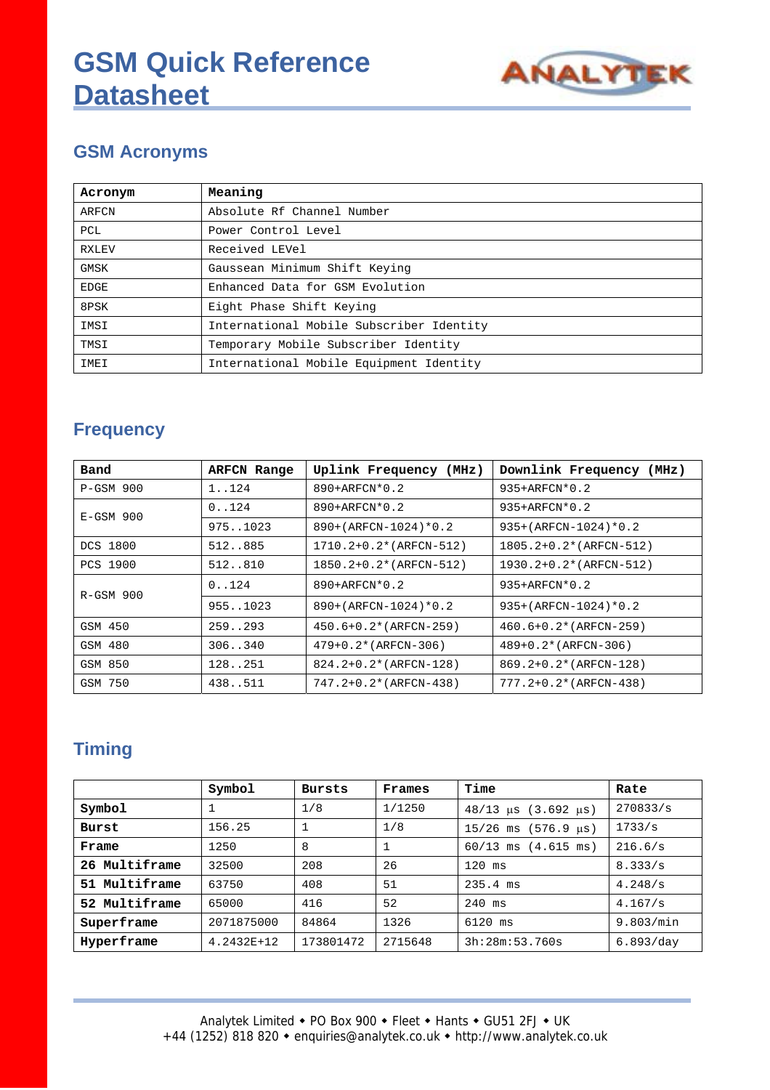

## **GSM Acronyms**

| Acronym      | Meaning                                  |
|--------------|------------------------------------------|
| ARFCN        | Absolute Rf Channel Number               |
| PCL          | Power Control Level                      |
| <b>RXLEV</b> | Received LEVel                           |
| <b>GMSK</b>  | Gaussean Minimum Shift Keying            |
| <b>EDGE</b>  | Enhanced Data for GSM Evolution          |
| 8PSK         | Eight Phase Shift Keying                 |
| IMSI         | International Mobile Subscriber Identity |
| TMSI         | Temporary Mobile Subscriber Identity     |
| IMEI         | International Mobile Equipment Identity  |

## **Frequency**

| Band        | <b>ARFCN Range</b> | Uplink Frequency (MHz)  | Downlink Frequency (MHz)    |
|-------------|--------------------|-------------------------|-----------------------------|
| $P-GSM$ 900 | 1.124              | $890+ARFCN*0.2$         | $935+ARFCN*0.2$             |
| $E-GSM$ 900 | 0.124              | 890+ARFCN*0.2           | 935+ARFCN*0.2               |
|             | 9751023            | 890+(ARFCN-1024)*0.2    | $935 + (ARFCN-1024)*0.2$    |
| DCS 1800    | 512885             | 1710.2+0.2* (ARFCN-512) | 1805.2+0.2* (ARFCN-512)     |
| PCS 1900    | 512810             | 1850.2+0.2* (ARFCN-512) | 1930.2+0.2* (ARFCN-512)     |
| $R-GSM$ 900 | 0.124              | 890+ARFCN*0.2           | 935+ARFCN*0.2               |
|             | 9551023            | 890+(ARFCN-1024)*0.2    | $935 + (ARFCN-1024)*0.2$    |
| GSM 450     | 259.0293           | $450.6+0.2*(ARTCN-259)$ | $460.6+0.2*(ARTCN-259)$     |
| GSM 480     | 306340             | $479+0.2*(ARFCN-306)$   | $489+0.2*(ARFCN-306)$       |
| GSM 850     | 128251             | 824.2+0.2* (ARFCN-128)  | 869.2+0.2* (ARFCN-128)      |
| GSM 750     | 438511             | 747.2+0.2* (ARFCN-438)  | $777.2 + 0.2 * (ARFCN-438)$ |

# **Timing**

|               | Symbol     | <b>Bursts</b> | Frames  | Time                                               | Rate      |
|---------------|------------|---------------|---------|----------------------------------------------------|-----------|
| Symbol        |            | 1/8           | 1/1250  | $48/13 \text{ }\mu\text{s}$ (3.692 $\mu\text{s}$ ) | 270833/s  |
| Burst         | 156.25     |               | 1/8     | $15/26$ ms $(576.9 \text{ }\mu\text{s})$           | 1733/s    |
| Frame         | 1250       | 8             |         | $60/13$ ms $(4.615$ ms)                            | 216.6/s   |
| 26 Multiframe | 32500      | 208           | 26      | $120$ ms                                           | 8.333/s   |
| 51 Multiframe | 63750      | 408           | 51      | $235.4$ ms                                         | 4.248/s   |
| 52 Multiframe | 65000      | 416           | 52      | $240$ ms                                           | 4.167/s   |
| Superframe    | 2071875000 | 84864         | 1326    | $6120$ ms                                          | 9.803/min |
| Hyperframe    | 4.2432E+12 | 173801472     | 2715648 | 3h:28m:53.760s                                     | 6.893/day |